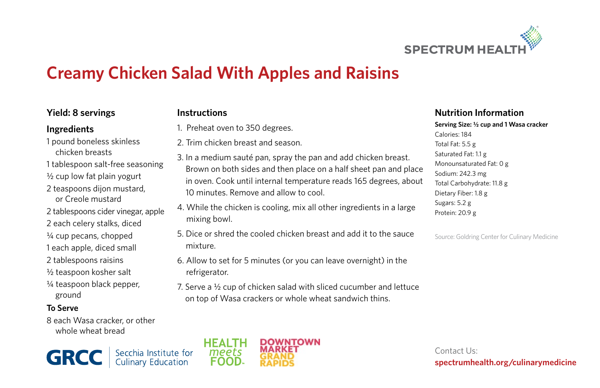

# **Creamy Chicken Salad With Apples and Raisins**

### **Yield: 8 servings**

#### **Ingredients**

1 pound boneless skinless chicken breasts

- 1 tablespoon salt-free seasoning
- ½ cup low fat plain yogurt
- 2 teaspoons dijon mustard, or Creole mustard
- 2 tablespoons cider vinegar, apple
- 2 each celery stalks, diced
- ¼ cup pecans, chopped
- 1 each apple, diced small
- 2 tablespoons raisins
- ½ teaspoon kosher salt
- ¼ teaspoon black pepper, ground

### **To Serve**

8 each Wasa cracker, or other whole wheat bread





- 1. Preheat oven to 350 degrees.
- 2. Trim chicken breast and season.
- 3. In a medium sauté pan, spray the pan and add chicken breast. Brown on both sides and then place on a half sheet pan and place in oven. Cook until internal temperature reads 165 degrees, about 10 minutes. Remove and allow to cool.
- 4. While the chicken is cooling, mix all other ingredients in a large mixing bowl.
- 5. Dice or shred the cooled chicken breast and add it to the sauce mixture.
- 6. Allow to set for 5 minutes (or you can leave overnight) in the refrigerator.
- 7. Serve a ½ cup of chicken salad with sliced cucumber and lettuce on top of Wasa crackers or whole wheat sandwich thins.

#### **Nutrition Information**

#### **Serving Size: ½ cup and 1 Wasa cracker**

Calories: 184 Total Fat: 5.5 g Saturated Fat: 1.1 g Monounsaturated Fat: 0 g Sodium: 242.3 mg Total Carbohydrate: 11.8 g Dietary Fiber: 1.8 g Sugars: 5.2 g Protein: 20.9 g

Source: Goldring Center for Culinary Medicine



Contact Us: **spectrumhealth.org/culinarymedicine**